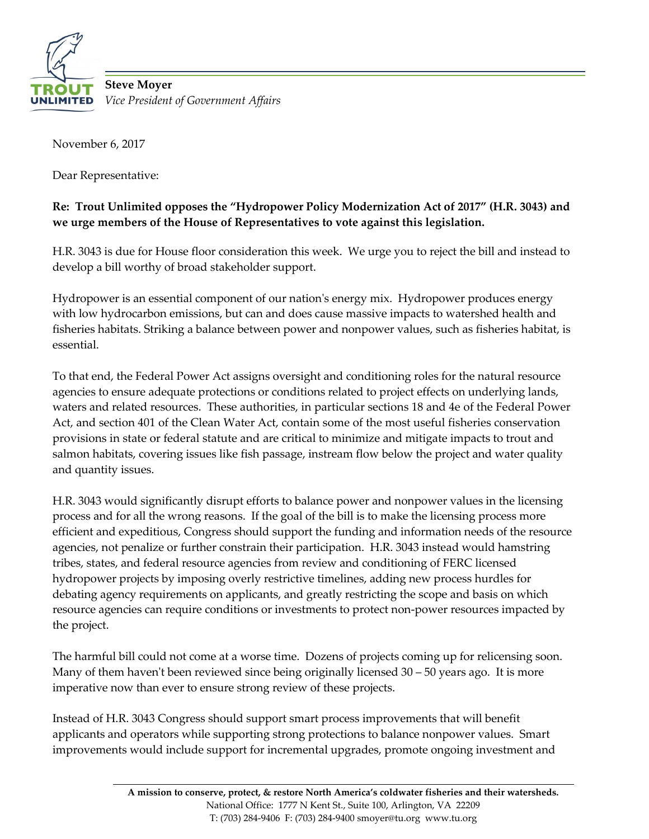

**Steve Moyer** *Vice President of Government Affairs*

November 6, 2017

Dear Representative:

## **Re: Trout Unlimited opposes the "Hydropower Policy Modernization Act of 2017" (H.R. 3043) and we urge members of the House of Representatives to vote against this legislation.**

H.R. 3043 is due for House floor consideration this week. We urge you to reject the bill and instead to develop a bill worthy of broad stakeholder support.

Hydropower is an essential component of our nation's energy mix. Hydropower produces energy with low hydrocarbon emissions, but can and does cause massive impacts to watershed health and fisheries habitats. Striking a balance between power and nonpower values, such as fisheries habitat, is essential.

To that end, the Federal Power Act assigns oversight and conditioning roles for the natural resource agencies to ensure adequate protections or conditions related to project effects on underlying lands, waters and related resources. These authorities, in particular sections 18 and 4e of the Federal Power Act, and section 401 of the Clean Water Act, contain some of the most useful fisheries conservation provisions in state or federal statute and are critical to minimize and mitigate impacts to trout and salmon habitats, covering issues like fish passage, instream flow below the project and water quality and quantity issues.

H.R. 3043 would significantly disrupt efforts to balance power and nonpower values in the licensing process and for all the wrong reasons. If the goal of the bill is to make the licensing process more efficient and expeditious, Congress should support the funding and information needs of the resource agencies, not penalize or further constrain their participation. H.R. 3043 instead would hamstring tribes, states, and federal resource agencies from review and conditioning of FERC licensed hydropower projects by imposing overly restrictive timelines, adding new process hurdles for debating agency requirements on applicants, and greatly restricting the scope and basis on which resource agencies can require conditions or investments to protect non-power resources impacted by the project.

The harmful bill could not come at a worse time. Dozens of projects coming up for relicensing soon. Many of them haven't been reviewed since being originally licensed  $30 - 50$  years ago. It is more imperative now than ever to ensure strong review of these projects.

Instead of H.R. 3043 Congress should support smart process improvements that will benefit applicants and operators while supporting strong protections to balance nonpower values. Smart improvements would include support for incremental upgrades, promote ongoing investment and